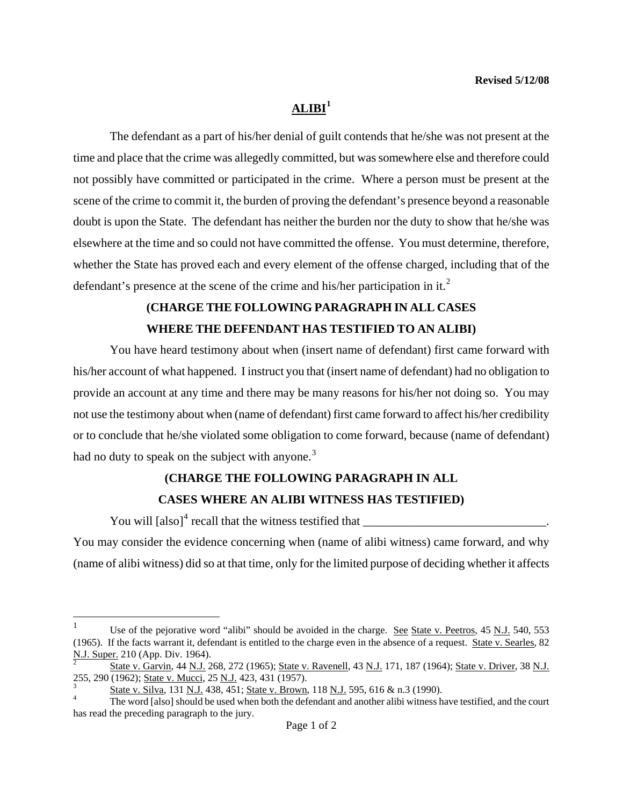# $ALIBI<sup>1</sup>$  $ALIBI<sup>1</sup>$  $ALIBI<sup>1</sup>$

The defendant as a part of his/her denial of guilt contends that he/she was not present at the time and place that the crime was allegedly committed, but was somewhere else and therefore could not possibly have committed or participated in the crime. Where a person must be present at the scene of the crime to commit it, the burden of proving the defendant's presence beyond a reasonable doubt is upon the State. The defendant has neither the burden nor the duty to show that he/she was elsewhere at the time and so could not have committed the offense. You must determine, therefore, whether the State has proved each and every element of the offense charged, including that of the defendant's presence at the scene of the crime and his/her participation in it.<sup>[2](#page-0-1)</sup>

# **(CHARGE THE FOLLOWING PARAGRAPH IN ALL CASES WHERE THE DEFENDANT HAS TESTIFIED TO AN ALIBI)**

You have heard testimony about when (insert name of defendant) first came forward with his/her account of what happened. I instruct you that (insert name of defendant) had no obligation to provide an account at any time and there may be many reasons for his/her not doing so. You may not use the testimony about when (name of defendant) first came forward to affect his/her credibility or to conclude that he/she violated some obligation to come forward, because (name of defendant) had no duty to speak on the subject with anyone. $3$ 

# **(CHARGE THE FOLLOWING PARAGRAPH IN ALL**

### **CASES WHERE AN ALIBI WITNESS HAS TESTIFIED)**

You will [also][4](#page-0-3) recall that the witness testified that \_\_\_\_\_\_\_\_\_\_\_\_\_\_\_\_\_\_\_\_\_\_\_\_\_\_\_\_\_\_.

1

You may consider the evidence concerning when (name of alibi witness) came forward, and why (name of alibi witness) did so at that time, only for the limited purpose of deciding whether it affects

<span id="page-0-0"></span><sup>1</sup> Use of the pejorative word "alibi" should be avoided in the charge. See State v. Peetros, 45 N.J. 540, 553 (1965). If the facts warrant it, defendant is entitled to the charge even in the absence of a request. State v. Searles, 82 N.J. Super. 210 (App. Div. 1964).

<span id="page-0-4"></span><span id="page-0-1"></span>State v. Garvin, 44 N.J. 268, 272 (1965); State v. Ravenell, 43 N.J. 171, 187 (1964); State v. Driver, 38 N.J. 255, 290 (1962); State v. Mucci, 25 N.J. 423, 431 (1957). 3

State v. Silva, 131 N.J. 438, 451; State v. Brown, 118 N.J. 595, 616 & n.3 (1990). 4

<span id="page-0-3"></span><span id="page-0-2"></span>The word [also] should be used when both the defendant and another alibi witness have testified, and the court has read the preceding paragraph to the jury.